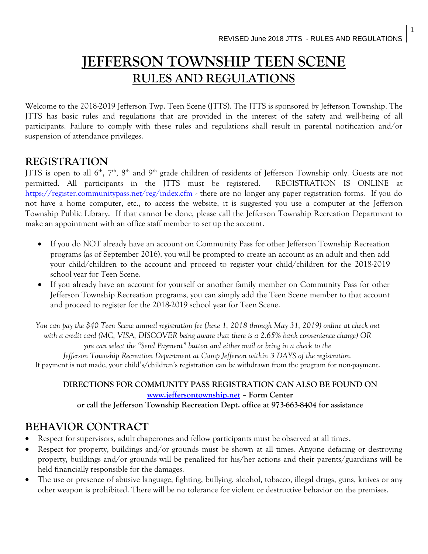1

# **JEFFERSON TOWNSHIP TEEN SCENE RULES AND REGULATIONS**

Welcome to the 2018-2019 Jefferson Twp. Teen Scene (JTTS). The JTTS is sponsored by Jefferson Township. The JTTS has basic rules and regulations that are provided in the interest of the safety and well-being of all participants. Failure to comply with these rules and regulations shall result in parental notification and/or suspension of attendance privileges.

#### **REGISTRATION**

JTTS is open to all  $6^{\text{th}}$ ,  $7^{\text{th}}$ ,  $8^{\text{th}}$  and  $9^{\text{th}}$  grade children of residents of Jefferson Township only. Guests are not permitted. All participants in the JTTS must be registered. REGISTRATION IS ONLINE at <https://register.communitypass.net/reg/index.cfm> - there are no longer any paper registration forms. If you do not have a home computer, etc., to access the website, it is suggested you use a computer at the Jefferson Township Public Library. If that cannot be done, please call the Jefferson Township Recreation Department to make an appointment with an office staff member to set up the account.

- If you do NOT already have an account on Community Pass for other Jefferson Township Recreation programs (as of September 2016), you will be prompted to create an account as an adult and then add your child/children to the account and proceed to register your child/children for the 2018-2019 school year for Teen Scene.
- If you already have an account for yourself or another family member on Community Pass for other Jefferson Township Recreation programs, you can simply add the Teen Scene member to that account and proceed to register for the 2018-2019 school year for Teen Scene.

*You can pay the \$40 Teen Scene annual registration fee (June 1, 2018 through May 31, 2019) online at check out with a credit card (MC, VISA, DISCOVER being aware that there is a 2.65% bank convenience charge) OR you can select the "Send Payment" button and either mail or bring in a check to the Jefferson Township Recreation Department at Camp Jefferson within 3 DAYS of the registration.* If payment is not made, your child's/children's registration can be withdrawn from the program for non-payment.

## **DIRECTIONS FOR COMMUNITY PASS REGISTRATION CAN ALSO BE FOUND ON [www.jeffersontownship.net](http://www.jeffersontownship.net/) – Form Center**

**or call the Jefferson Township Recreation Dept. office at 973-663-8404 for assistance**

### **BEHAVIOR CONTRACT**

- Respect for supervisors, adult chaperones and fellow participants must be observed at all times.
- Respect for property, buildings and/or grounds must be shown at all times. Anyone defacing or destroying property, buildings and/or grounds will be penalized for his/her actions and their parents/guardians will be held financially responsible for the damages.
- The use or presence of abusive language, fighting, bullying, alcohol, tobacco, illegal drugs, guns, knives or any other weapon is prohibited. There will be no tolerance for violent or destructive behavior on the premises.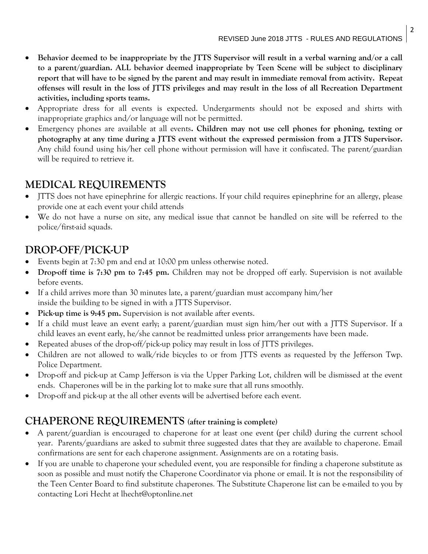- **Behavior deemed to be inappropriate by the JTTS Supervisor will result in a verbal warning and/or a call to a parent/guardian. ALL behavior deemed inappropriate by Teen Scene will be subject to disciplinary report that will have to be signed by the parent and may result in immediate removal from activity. Repeat offenses will result in the loss of JTTS privileges and may result in the loss of all Recreation Department activities, including sports teams.**
- Appropriate dress for all events is expected. Undergarments should not be exposed and shirts with inappropriate graphics and/or language will not be permitted.
- Emergency phones are available at all events**. Children may not use cell phones for phoning, texting or photography at any time during a JTTS event without the expressed permission from a JTTS Supervisor.** Any child found using his/her cell phone without permission will have it confiscated. The parent/guardian will be required to retrieve it.

## **MEDICAL REQUIREMENTS**

- JTTS does not have epinephrine for allergic reactions. If your child requires epinephrine for an allergy, please provide one at each event your child attends
- We do not have a nurse on site, any medical issue that cannot be handled on site will be referred to the police/first-aid squads.

## **DROP-OFF/PICK-UP**

- Events begin at 7:30 pm and end at 10:00 pm unless otherwise noted.
- **Drop-off time is 7:30 pm to 7:45 pm.** Children may not be dropped off early. Supervision is not available before events.
- If a child arrives more than 30 minutes late, a parent/guardian must accompany him/her inside the building to be signed in with a JTTS Supervisor.
- Pick-up time is 9:45 pm. Supervision is not available after events.
- If a child must leave an event early; a parent/guardian must sign him/her out with a JTTS Supervisor. If a child leaves an event early, he/she cannot be readmitted unless prior arrangements have been made.
- Repeated abuses of the drop-off/pick-up policy may result in loss of JTTS privileges.
- Children are not allowed to walk/ride bicycles to or from JTTS events as requested by the Jefferson Twp. Police Department.
- Drop-off and pick-up at Camp Jefferson is via the Upper Parking Lot, children will be dismissed at the event ends. Chaperones will be in the parking lot to make sure that all runs smoothly.
- Drop-off and pick-up at the all other events will be advertised before each event.

### **CHAPERONE REQUIREMENTS (after training is complete)**

- A parent/guardian is encouraged to chaperone for at least one event (per child) during the current school year. Parents/guardians are asked to submit three suggested dates that they are available to chaperone. Email confirmations are sent for each chaperone assignment. Assignments are on a rotating basis.
- If you are unable to chaperone your scheduled event, you are responsible for finding a chaperone substitute as soon as possible and must notify the Chaperone Coordinator via phone or email. It is not the responsibility of the Teen Center Board to find substitute chaperones*.* The Substitute Chaperone list can be e-mailed to you by contacting Lori Hecht at lhecht@optonline.net